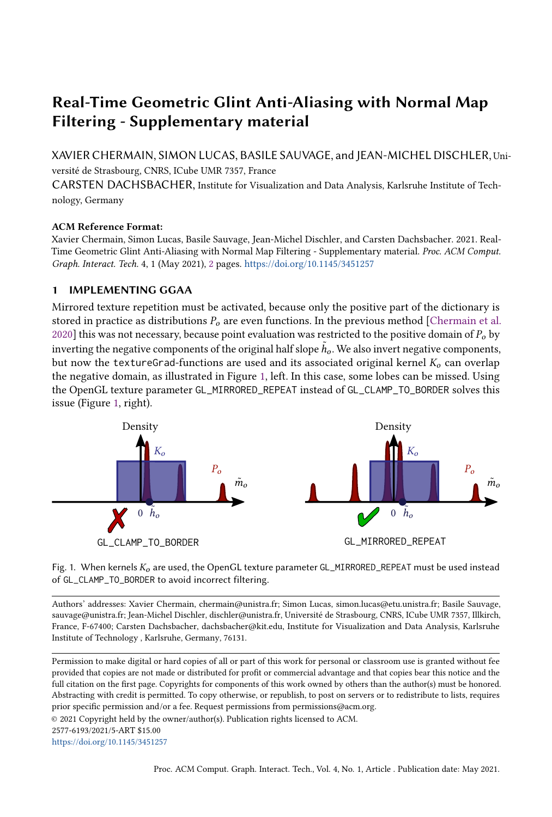## Real-Time Geometric Glint Anti-Aliasing with Normal Map Filtering - Supplementary material

XAVIER CHERMAIN, SIMON LUCAS, BASILE SAUVAGE, and JEAN-MICHEL DISCHLER, Université de Strasbourg, CNRS, ICube UMR 7357, France

CARSTEN DACHSBACHER, Institute for Visualization and Data Analysis, Karlsruhe Institute of Technology, Germany

## ACM Reference Format:

Xavier Chermain, Simon Lucas, Basile Sauvage, Jean-Michel Dischler, and Carsten Dachsbacher. 2021. Real-Time Geometric Glint Anti-Aliasing with Normal Map Filtering - Supplementary material. Proc. ACM Comput. Graph. Interact. Tech. 4, 1 (May 2021), [2](#page-1-0) pages. <https://doi.org/10.1145/3451257>

## 1 IMPLEMENTING GGAA

Mirrored texture repetition must be activated, because only the positive part of the dictionary is stored in practice as distributions  $P<sub>o</sub>$  are even functions. In the previous method [\[Chermain et al.](#page-1-1) [2020\]](#page-1-1) this was not necessary, because point evaluation was restricted to the positive domain of  $P<sub>o</sub>$  by inverting the negative components of the original half slope  $h<sub>0</sub>$ . We also invert negative components, but now the textureGrad-functions are used and its associated original kernel  $K_0$  can overlap the negative domain, as illustrated in Figure [1,](#page-0-0) left. In this case, some lobes can be missed. Using the OpenGL texture parameter GL\_MIRRORED\_REPEAT instead of GL\_CLAMP\_TO\_BORDER solves this issue (Figure [1,](#page-0-0) right).

<span id="page-0-0"></span>

Fig. 1. When kernels  $K_0$  are used, the OpenGL texture parameter GL\_MIRRORED\_REPEAT must be used instead of GL\_CLAMP\_TO\_BORDER to avoid incorrect filtering.

Authors' addresses: Xavier Chermain, chermain@unistra.fr; Simon Lucas, simon.lucas@etu.unistra.fr; Basile Sauvage, sauvage@unistra.fr; Jean-Michel Dischler, dischler@unistra.fr, Université de Strasbourg, CNRS, ICube UMR 7357, Illkirch, France, F-67400; Carsten Dachsbacher, dachsbacher@kit.edu, Institute for Visualization and Data Analysis, Karlsruhe Institute of Technology , Karlsruhe, Germany, 76131.

Permission to make digital or hard copies of all or part of this work for personal or classroom use is granted without fee provided that copies are not made or distributed for profit or commercial advantage and that copies bear this notice and the full citation on the first page. Copyrights for components of this work owned by others than the author(s) must be honored. Abstracting with credit is permitted. To copy otherwise, or republish, to post on servers or to redistribute to lists, requires prior specific permission and/or a fee. Request permissions from permissions@acm.org.

© 2021 Copyright held by the owner/author(s). Publication rights licensed to ACM.

<https://doi.org/10.1145/3451257>

<sup>2577-6193/2021/5-</sup>ART \$15.00